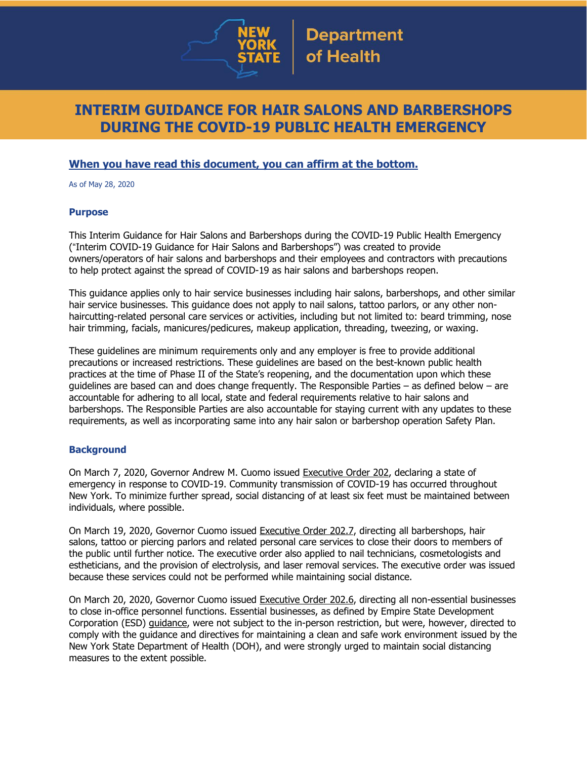

# **INTERIM GUIDANCE FOR HAIR SALONS AND BARBERSHOPS DURING THE COVID-19 PUBLIC HEALTH EMERGENCY**

## **When you have read this document, you can affirm at the bottom.**

As of May 28, 2020

#### **Purpose**

This Interim Guidance for Hair Salons and Barbershops during the COVID-19 Public Health Emergency ("Interim COVID-19 Guidance for Hair Salons and Barbershops") was created to provide owners/operators of hair salons and barbershops and their employees and contractors with precautions to help protect against the spread of COVID-19 as hair salons and barbershops reopen.

This guidance applies only to hair service businesses including hair salons, barbershops, and other similar hair service businesses. This guidance does not apply to nail salons, tattoo parlors, or any other nonhaircutting-related personal care services or activities, including but not limited to: beard trimming, nose hair trimming, facials, manicures/pedicures, makeup application, threading, tweezing, or waxing.

These guidelines are minimum requirements only and any employer is free to provide additional precautions or increased restrictions. These guidelines are based on the best-known public health practices at the time of Phase II of the State's reopening, and the documentation upon which these guidelines are based can and does change frequently. The Responsible Parties – as defined below – are accountable for adhering to all local, state and federal requirements relative to hair salons and barbershops. The Responsible Parties are also accountable for staying current with any updates to these requirements, as well as incorporating same into any hair salon or barbershop operation Safety Plan.

### **Background**

On March 7, 2020, Governor Andrew M. Cuomo issued [Executive](https://www.governor.ny.gov/news/no-202-declaring-disaster-emergency-state-new-york) Order 202, declaring a state of emergency in response to COVID-19. Community transmission of COVID-19 has occurred throughout New York. To minimize further spread, social distancing of at least six feet must be maintained between individuals, where possible.

On March 19, 2020, Governor Cuomo issued [Executive](https://www.governor.ny.gov/news/no-2027-continuing-temporary-suspension-and-modification-laws-relating-disaster-emergency) Order 202.7, directing all barbershops, hair salons, tattoo or piercing parlors and related personal care services to close their doors to members of the public until further notice. The executive order also applied to nail technicians, cosmetologists and estheticians, and the provision of electrolysis, and laser removal services. The executive order was issued because these services could not be performed while maintaining social distance.

On March 20, 2020, Governor Cuomo issued [Executive](https://www.governor.ny.gov/news/no-2026-continuing-temporary-suspension-and-modification-laws-relating-disaster-emergency) Order 202.6, directing all non-essential businesses to close in-office personnel functions. Essential businesses, as defined by Empire State Development Corporation (ESD) [guidance,](https://esd.ny.gov/guidance-executive-order-2026) were not subject to the in-person restriction, but were, however, directed to comply with the guidance and directives for maintaining a clean and safe work environment issued by the New York State Department of Health (DOH), and were strongly urged to maintain social distancing measures to the extent possible.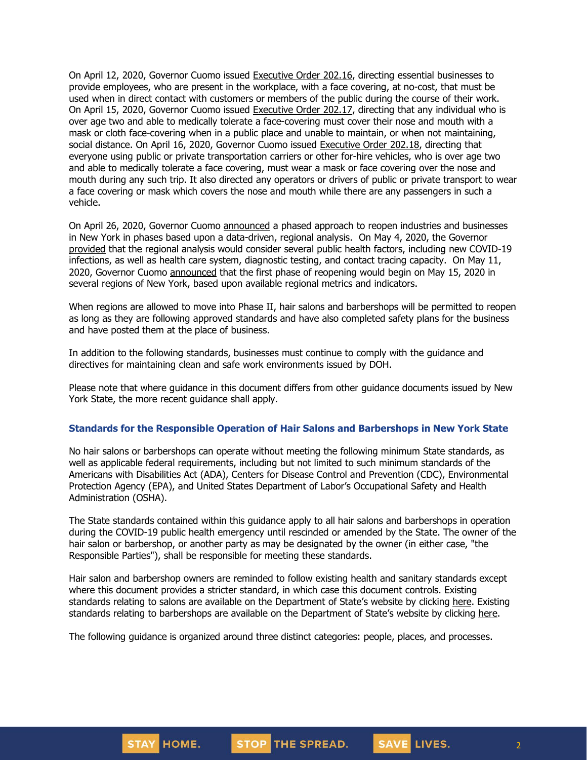On April 12, 2020, Governor Cuomo issued [Executive](https://www.governor.ny.gov/news/no-20216-continuing-temporary-suspension-and-modification-laws-relating-disaster-emergency) Order 202.16, directing essential businesses to provide employees, who are present in the workplace, with a face covering, at no-cost, that must be used when in direct contact with customers or members of the public during the course of their work. On April 15, 2020, Governor Cuomo issued [Executive](https://www.governor.ny.gov/news/no-20217-continuing-temporary-suspension-and-modification-laws-relating-disaster-emergency) Order 202.17, directing that any individual who is over age two and able to medically tolerate a face-covering must cover their nose and mouth with a mask or cloth face-covering when in a public place and unable to maintain, or when not maintaining, social distance. On April 16, 2020, Governor Cuomo issued [Executive](https://www.governor.ny.gov/news/no-20218-continuing-temporary-suspension-and-modification-laws-relating-disaster-emergency) Order 202.18, directing that everyone using public or private transportation carriers or other for-hire vehicles, who is over age two and able to medically tolerate a face covering, must wear a mask or face covering over the nose and mouth during any such trip. It also directed any operators or drivers of public or private transport to wear a face covering or mask which covers the nose and mouth while there are any passengers in such a vehicle.

On April 26, 2020, Governor Cuomo [announced](https://www.governor.ny.gov/news/amid-ongoing-covid-19-pandemic-governor-cuomo-outlines-phased-plan-re-open-new-york-starting) a phased approach to reopen industries and businesses in New York in phases based upon a data-driven, regional analysis. On May 4, 2020, the Governor [provided](https://www.governor.ny.gov/news/amid-ongoing-covid-19-pandemic-governor-cuomo-outlines-additional-guidelines-when-regions-can) that the regional analysis would consider several public health factors, including new COVID-19 infections, as well as health care system, diagnostic testing, and contact tracing capacity. On May 11, 2020, Governor Cuomo [announced](https://www.governor.ny.gov/news/amid-ongoing-covid-19-pandemic-governor-cuomo-announces-three-regions-new-york-state-ready) that the first phase of reopening would begin on May 15, 2020 in several regions of New York, based upon available regional metrics and indicators.

When regions are allowed to move into Phase II, hair salons and barbershops will be permitted to reopen as long as they are following approved standards and have also completed safety plans for the business and have posted them at the place of business.

In addition to the following standards, businesses must continue to comply with the guidance and directives for maintaining clean and safe work environments issued by DOH.

Please note that where guidance in this document differs from other guidance documents issued by New York State, the more recent guidance shall apply.

#### **Standards for the Responsible Operation of Hair Salons and Barbershops in New York State**

No hair salons or barbershops can operate without meeting the following minimum State standards, as well as applicable federal requirements, including but not limited to such minimum standards of the Americans with Disabilities Act (ADA), Centers for Disease Control and Prevention (CDC), Environmental Protection Agency (EPA), and United States Department of Labor's Occupational Safety and Health Administration (OSHA).

The State standards contained within this guidance apply to all hair salons and barbershops in operation during the COVID-19 public health emergency until rescinded or amended by the State. The owner of the hair salon or barbershop, or another party as may be designated by the owner (in either case, "the Responsible Parties"), shall be responsible for meeting these standards.

Hair salon and barbershop owners are reminded to follow existing health and sanitary standards except where this document provides a stricter standard, in which case this document controls. Existing standards relating to salons are available on the Department of State's website by clicking [here.](https://www.dos.ny.gov/licensing/pdfs/Appearance_Enhancement.pdf) Existing standards relating to barbershops are available on the Department of State's website by clicking [here.](https://www.dos.ny.gov/licensing/lawbooks/barber.pdf)

The following guidance is organized around three distinct categories: people, places, and processes.

SAVE LIVES.

2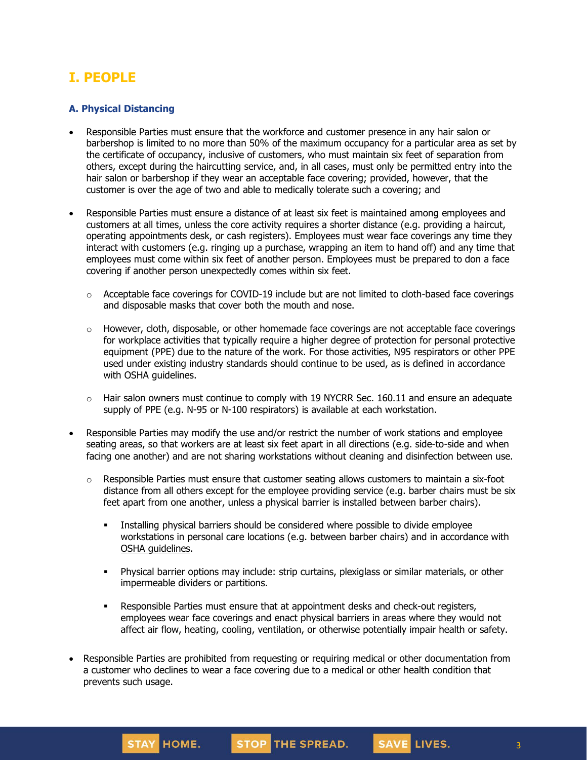# **I. PEOPLE**

### **A. Physical Distancing**

- Responsible Parties must ensure that the workforce and customer presence in any hair salon or barbershop is limited to no more than 50% of the maximum occupancy for a particular area as set by the certificate of occupancy, inclusive of customers, who must maintain six feet of separation from others, except during the haircutting service, and, in all cases, must only be permitted entry into the hair salon or barbershop if they wear an acceptable face covering; provided, however, that the customer is over the age of two and able to medically tolerate such a covering; and
- Responsible Parties must ensure a distance of at least six feet is maintained among employees and customers at all times, unless the core activity requires a shorter distance (e.g. providing a haircut, operating appointments desk, or cash registers). Employees must wear face coverings any time they interact with customers (e.g. ringing up a purchase, wrapping an item to hand off) and any time that employees must come within six feet of another person. Employees must be prepared to don a face covering if another person unexpectedly comes within six feet.
	- $\circ$  Acceptable face coverings for COVID-19 include but are not limited to cloth-based face coverings and disposable masks that cover both the mouth and nose.
	- $\circ$  However, cloth, disposable, or other homemade face coverings are not acceptable face coverings for workplace activities that typically require a higher degree of protection for personal protective equipment (PPE) due to the nature of the work. For those activities, N95 respirators or other PPE used under existing industry standards should continue to be used, as is defined in accordance with OSHA guidelines.
	- $\circ$  Hair salon owners must continue to comply with 19 NYCRR Sec. 160.11 and ensure an adequate supply of PPE (e.g. N-95 or N-100 respirators) is available at each workstation.
- Responsible Parties may modify the use and/or restrict the number of work stations and employee seating areas, so that workers are at least six feet apart in all directions (e.g. side-to-side and when facing one another) and are not sharing workstations without cleaning and disinfection between use.
	- $\circ$  Responsible Parties must ensure that customer seating allows customers to maintain a six-foot distance from all others except for the employee providing service (e.g. barber chairs must be six feet apart from one another, unless a physical barrier is installed between barber chairs).
		- **•** Installing physical barriers should be considered where possible to divide employee workstations in personal care locations (e.g. between barber chairs) and in accordance with OSHA [guidelines.](https://www.osha.gov/Publications/OSHA3990.pdf)
		- **•** Physical barrier options may include: strip curtains, plexiglass or similar materials, or other impermeable dividers or partitions.
		- **•** Responsible Parties must ensure that at appointment desks and check-out registers, employees wear face coverings and enact physical barriers in areas where they would not affect air flow, heating, cooling, ventilation, or otherwise potentially impair health or safety.
- Responsible Parties are prohibited from requesting or requiring medical or other documentation from a customer who declines to wear a face covering due to a medical or other health condition that prevents such usage.

3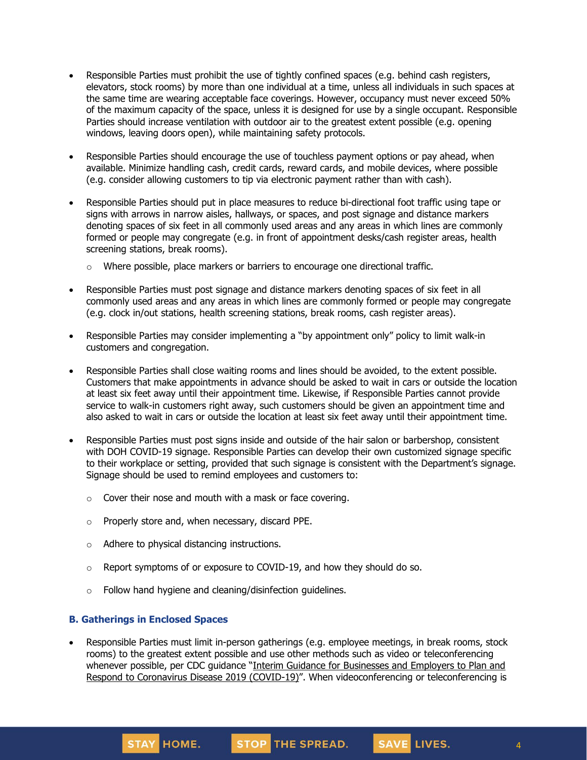- Responsible Parties must prohibit the use of tightly confined spaces (e.g. behind cash registers, elevators, stock rooms) by more than one individual at a time, unless all individuals in such spaces at the same time are wearing acceptable face coverings. However, occupancy must never exceed 50% of the maximum capacity of the space, unless it is designed for use by a single occupant. Responsible Parties should increase ventilation with outdoor air to the greatest extent possible (e.g. opening windows, leaving doors open), while maintaining safety protocols.
- Responsible Parties should encourage the use of touchless payment options or pay ahead, when available. Minimize handling cash, credit cards, reward cards, and mobile devices, where possible (e.g. consider allowing customers to tip via electronic payment rather than with cash).
- Responsible Parties should put in place measures to reduce bi-directional foot traffic using tape or signs with arrows in narrow aisles, hallways, or spaces, and post signage and distance markers denoting spaces of six feet in all commonly used areas and any areas in which lines are commonly formed or people may congregate (e.g. in front of appointment desks/cash register areas, health screening stations, break rooms).
	- $\circ$  Where possible, place markers or barriers to encourage one directional traffic.
- Responsible Parties must post signage and distance markers denoting spaces of six feet in all commonly used areas and any areas in which lines are commonly formed or people may congregate (e.g. clock in/out stations, health screening stations, break rooms, cash register areas).
- Responsible Parties may consider implementing a "by appointment only" policy to limit walk-in customers and congregation.
- Responsible Parties shall close waiting rooms and lines should be avoided, to the extent possible. Customers that make appointments in advance should be asked to wait in cars or outside the location at least six feet away until their appointment time. Likewise, if Responsible Parties cannot provide service to walk-in customers right away, such customers should be given an appointment time and also asked to wait in cars or outside the location at least six feet away until their appointment time.
- Responsible Parties must post signs inside and outside of the hair salon or barbershop, consistent with DOH COVID-19 signage. Responsible Parties can develop their own customized signage specific to their workplace or setting, provided that such signage is consistent with the Department's signage. Signage should be used to remind employees and customers to:
	- $\circ$  Cover their nose and mouth with a mask or face covering.
	- o Properly store and, when necessary, discard PPE.
	- o Adhere to physical distancing instructions.
	- $\circ$  Report symptoms of or exposure to COVID-19, and how they should do so.
	- o Follow hand hygiene and cleaning/disinfection guidelines.

#### **B. Gatherings in Enclosed Spaces**

• Responsible Parties must limit in-person gatherings (e.g. employee meetings, in break rooms, stock rooms) to the greatest extent possible and use other methods such as video or teleconferencing whenever possible, per CDC guidance "Interim Guidance for [Businesses](https://www.cdc.gov/coronavirus/2019-ncov/community/guidance-business-response.html) and Employers to Plan and Respond to [Coronavirus](https://www.cdc.gov/coronavirus/2019-ncov/community/guidance-business-response.html) Disease 2019 (COVID-19)". When videoconferencing or teleconferencing is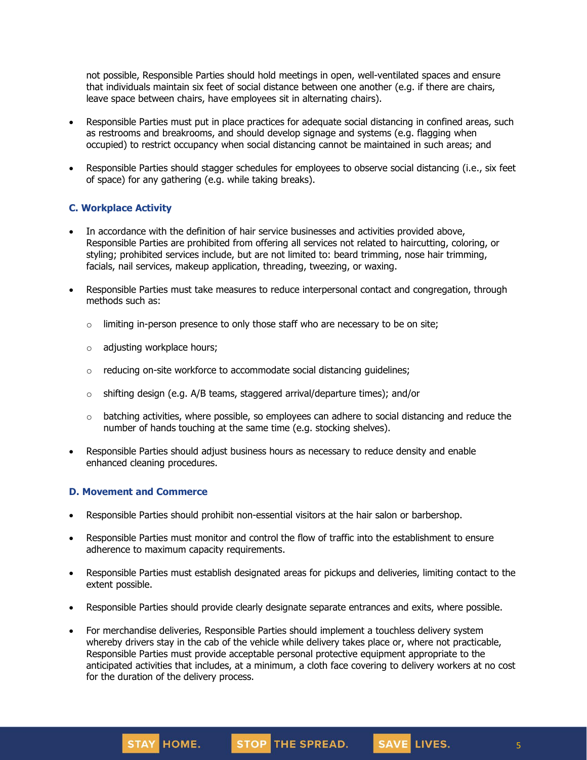not possible, Responsible Parties should hold meetings in open, well-ventilated spaces and ensure that individuals maintain six feet of social distance between one another (e.g. if there are chairs, leave space between chairs, have employees sit in alternating chairs).

- Responsible Parties must put in place practices for adequate social distancing in confined areas, such as restrooms and breakrooms, and should develop signage and systems (e.g. flagging when occupied) to restrict occupancy when social distancing cannot be maintained in such areas; and
- Responsible Parties should stagger schedules for employees to observe social distancing (i.e., six feet of space) for any gathering (e.g. while taking breaks).

### **C. Workplace Activity**

- In accordance with the definition of hair service businesses and activities provided above, Responsible Parties are prohibited from offering all services not related to haircutting, coloring, or styling; prohibited services include, but are not limited to: beard trimming, nose hair trimming, facials, nail services, makeup application, threading, tweezing, or waxing.
- Responsible Parties must take measures to reduce interpersonal contact and congregation, through methods such as:
	- $\circ$  limiting in-person presence to only those staff who are necessary to be on site;
	- o adjusting workplace hours;
	- o reducing on-site workforce to accommodate social distancing guidelines;
	- $\circ$  shifting design (e.g. A/B teams, staggered arrival/departure times); and/or
	- $\circ$  batching activities, where possible, so employees can adhere to social distancing and reduce the number of hands touching at the same time (e.g. stocking shelves).
- Responsible Parties should adjust business hours as necessary to reduce density and enable enhanced cleaning procedures.

## **D. Movement and Commerce**

- Responsible Parties should prohibit non-essential visitors at the hair salon or barbershop.
- Responsible Parties must monitor and control the flow of traffic into the establishment to ensure adherence to maximum capacity requirements.
- Responsible Parties must establish designated areas for pickups and deliveries, limiting contact to the extent possible.
- Responsible Parties should provide clearly designate separate entrances and exits, where possible.
- For merchandise deliveries, Responsible Parties should implement a touchless delivery system whereby drivers stay in the cab of the vehicle while delivery takes place or, where not practicable, Responsible Parties must provide acceptable personal protective equipment appropriate to the anticipated activities that includes, at a minimum, a cloth face covering to delivery workers at no cost for the duration of the delivery process.

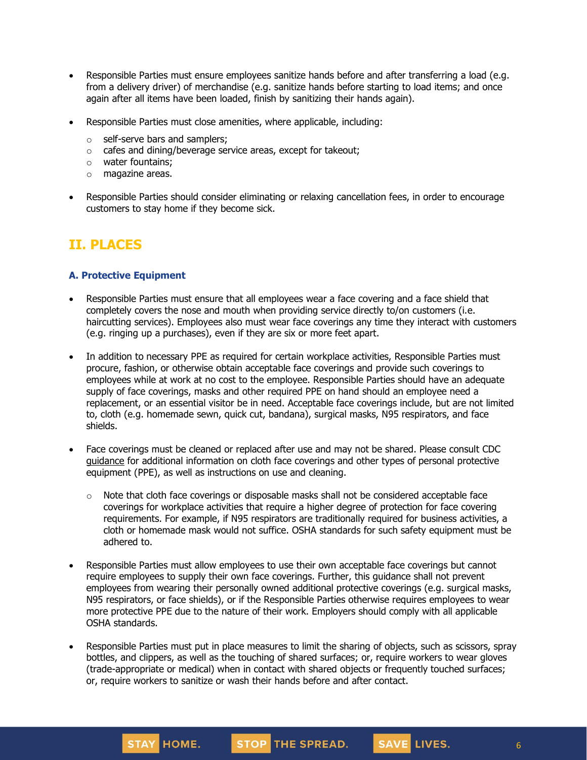- Responsible Parties must ensure employees sanitize hands before and after transferring a load (e.g. from a delivery driver) of merchandise (e.g. sanitize hands before starting to load items; and once again after all items have been loaded, finish by sanitizing their hands again).
- Responsible Parties must close amenities, where applicable, including:
	- o self-serve bars and samplers;
	- o cafes and dining/beverage service areas, except for takeout;
	- o water fountains;
	- o magazine areas.
- Responsible Parties should consider eliminating or relaxing cancellation fees, in order to encourage customers to stay home if they become sick.

# **II. PLACES**

## **A. Protective Equipment**

- Responsible Parties must ensure that all employees wear a face covering and a face shield that completely covers the nose and mouth when providing service directly to/on customers (i.e. haircutting services). Employees also must wear face coverings any time they interact with customers (e.g. ringing up a purchases), even if they are six or more feet apart.
- In addition to necessary PPE as required for certain workplace activities, Responsible Parties must procure, fashion, or otherwise obtain acceptable face coverings and provide such coverings to employees while at work at no cost to the employee. Responsible Parties should have an adequate supply of face coverings, masks and other required PPE on hand should an employee need a replacement, or an essential visitor be in need. Acceptable face coverings include, but are not limited to, cloth (e.g. homemade sewn, quick cut, bandana), surgical masks, N95 respirators, and face shields.
- Face coverings must be cleaned or replaced after use and may not be shared. Please consult CDC [guidance](https://www.cdc.gov/coronavirus/2019-ncov/community/guidance-business-response.html) for additional information on cloth face coverings and other types of personal protective equipment (PPE), as well as instructions on use and cleaning.
	- $\circ$  Note that cloth face coverings or disposable masks shall not be considered acceptable face coverings for workplace activities that require a higher degree of protection for face covering requirements. For example, if N95 respirators are traditionally required for business activities, a cloth or homemade mask would not suffice. OSHA standards for such safety equipment must be adhered to.
- Responsible Parties must allow employees to use their own acceptable face coverings but cannot require employees to supply their own face coverings. Further, this guidance shall not prevent employees from wearing their personally owned additional protective coverings (e.g. surgical masks, N95 respirators, or face shields), or if the Responsible Parties otherwise requires employees to wear more protective PPE due to the nature of their work. Employers should comply with all applicable OSHA standards.
- Responsible Parties must put in place measures to limit the sharing of objects, such as scissors, spray bottles, and clippers, as well as the touching of shared surfaces; or, require workers to wear gloves (trade-appropriate or medical) when in contact with shared objects or frequently touched surfaces; or, require workers to sanitize or wash their hands before and after contact.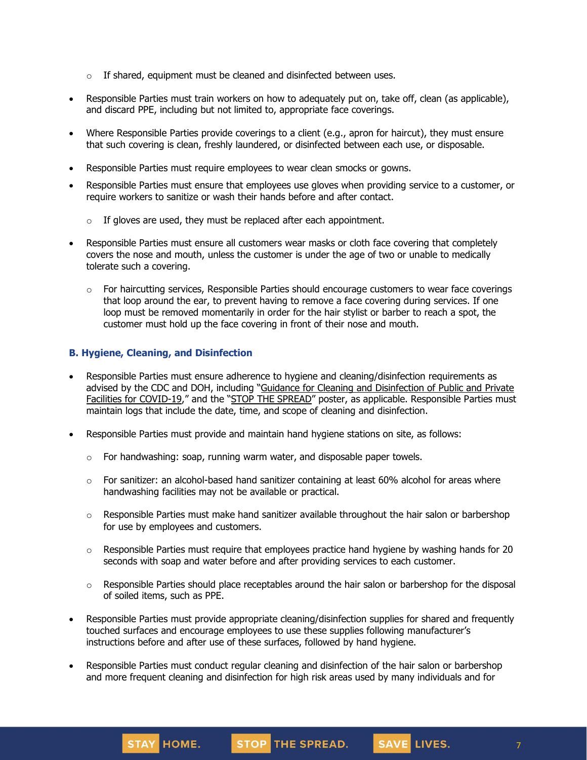- $\circ$  If shared, equipment must be cleaned and disinfected between uses.
- Responsible Parties must train workers on how to adequately put on, take off, clean (as applicable), and discard PPE, including but not limited to, appropriate face coverings.
- Where Responsible Parties provide coverings to a client (e.g., apron for haircut), they must ensure that such covering is clean, freshly laundered, or disinfected between each use, or disposable.
- Responsible Parties must require employees to wear clean smocks or gowns.
- Responsible Parties must ensure that employees use gloves when providing service to a customer, or require workers to sanitize or wash their hands before and after contact.
	- $\circ$  If gloves are used, they must be replaced after each appointment.
- Responsible Parties must ensure all customers wear masks or cloth face covering that completely covers the nose and mouth, unless the customer is under the age of two or unable to medically tolerate such a covering.
	- $\circ$  For haircutting services, Responsible Parties should encourage customers to wear face coverings that loop around the ear, to prevent having to remove a face covering during services. If one loop must be removed momentarily in order for the hair stylist or barber to reach a spot, the customer must hold up the face covering in front of their nose and mouth.

#### **B. Hygiene, Cleaning, and Disinfection**

STAY HOME.

- Responsible Parties must ensure adherence to hygiene and cleaning/disinfection requirements as advised by the CDC and DOH, including "Guidance for Cleaning and [Disinfection](https://coronavirus.health.ny.gov/system/files/documents/2020/03/cleaning_guidance_general_building.pdf) of Public and Private Facilities for [COVID-19](https://coronavirus.health.ny.gov/system/files/documents/2020/03/cleaning_guidance_general_building.pdf)," and the "STOP THE [SPREAD](https://coronavirus.health.ny.gov/system/files/documents/2020/04/13067_coronavirus_protectyourself_poster_042020.pdf)" poster, as applicable. Responsible Parties must maintain logs that include the date, time, and scope of cleaning and disinfection.
- Responsible Parties must provide and maintain hand hygiene stations on site, as follows:
	- $\circ$  For handwashing: soap, running warm water, and disposable paper towels.
	- $\circ$  For sanitizer: an alcohol-based hand sanitizer containing at least 60% alcohol for areas where handwashing facilities may not be available or practical.
	- $\circ$  Responsible Parties must make hand sanitizer available throughout the hair salon or barbershop for use by employees and customers.
	- $\circ$  Responsible Parties must require that employees practice hand hygiene by washing hands for 20 seconds with soap and water before and after providing services to each customer.
	- $\circ$  Responsible Parties should place receptables around the hair salon or barbershop for the disposal of soiled items, such as PPE.
- Responsible Parties must provide appropriate cleaning/disinfection supplies for shared and frequently touched surfaces and encourage employees to use these supplies following manufacturer's instructions before and after use of these surfaces, followed by hand hygiene.
- Responsible Parties must conduct regular cleaning and disinfection of the hair salon or barbershop and more frequent cleaning and disinfection for high risk areas used by many individuals and for

STOP THE SPREAD.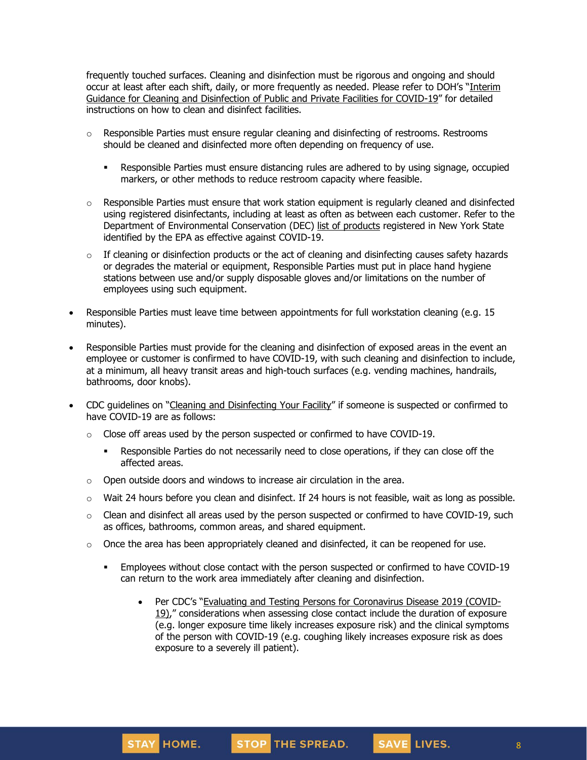frequently touched surfaces. Cleaning and disinfection must be rigorous and ongoing and should occur at least after each shift, daily, or more frequently as needed. Please refer to DOH's "[Interim](https://coronavirus.health.ny.gov/system/files/documents/2020/03/cleaning_guidance_general_building.pdf) Guidance for Cleaning and [Disinfection](https://coronavirus.health.ny.gov/system/files/documents/2020/03/cleaning_guidance_general_building.pdf) of Public and Private Facilities for COVID-19" for detailed instructions on how to clean and disinfect facilities.

- $\circ$  Responsible Parties must ensure regular cleaning and disinfecting of restrooms. Restrooms should be cleaned and disinfected more often depending on frequency of use.
	- **Responsible Parties must ensure distancing rules are adhered to by using signage, occupied** markers, or other methods to reduce restroom capacity where feasible.
- $\circ$  Responsible Parties must ensure that work station equipment is regularly cleaned and disinfected using registered disinfectants, including at least as often as between each customer. Refer to the Department of Environmental Conservation (DEC) list of [products](http://www.dec.ny.gov/docs/materials_minerals_pdf/covid19.pdf) registered in New York State identified by the EPA as effective against COVID-19.
- $\circ$  If cleaning or disinfection products or the act of cleaning and disinfecting causes safety hazards or degrades the material or equipment, Responsible Parties must put in place hand hygiene stations between use and/or supply disposable gloves and/or limitations on the number of employees using such equipment.
- Responsible Parties must leave time between appointments for full workstation cleaning (e.g. 15 minutes).
- Responsible Parties must provide for the cleaning and disinfection of exposed areas in the event an employee or customer is confirmed to have COVID-19, with such cleaning and disinfection to include, at a minimum, all heavy transit areas and high-touch surfaces (e.g. vending machines, handrails, bathrooms, door knobs).
- CDC guidelines on "Cleaning and [Disinfecting](https://www.cdc.gov/coronavirus/2019-ncov/community/disinfecting-building-facility.html) Your Facility" if someone is suspected or confirmed to have COVID-19 are as follows:
	- $\circ$  Close off areas used by the person suspected or confirmed to have COVID-19.
		- **•** Responsible Parties do not necessarily need to close operations, if they can close off the affected areas.
	- o Open outside doors and windows to increase air circulation in the area.
	- $\circ$  Wait 24 hours before you clean and disinfect. If 24 hours is not feasible, wait as long as possible.
	- $\circ$  Clean and disinfect all areas used by the person suspected or confirmed to have COVID-19, such as offices, bathrooms, common areas, and shared equipment.
	- $\circ$  Once the area has been appropriately cleaned and disinfected, it can be reopened for use.
		- **•** Employees without close contact with the person suspected or confirmed to have COVID-19 can return to the work area immediately after cleaning and disinfection.
			- Per CDC's "Evaluating and Testing Persons for [Coronavirus](https://www.cdc.gov/coronavirus/2019-ncov/hcp/clinical-criteria.html) Disease 2019 (COVID-[19\)](https://www.cdc.gov/coronavirus/2019-ncov/hcp/clinical-criteria.html)," considerations when assessing close contact include the duration of exposure (e.g. longer exposure time likely increases exposure risk) and the clinical symptoms of the person with COVID-19 (e.g. coughing likely increases exposure risk as does exposure to a severely ill patient).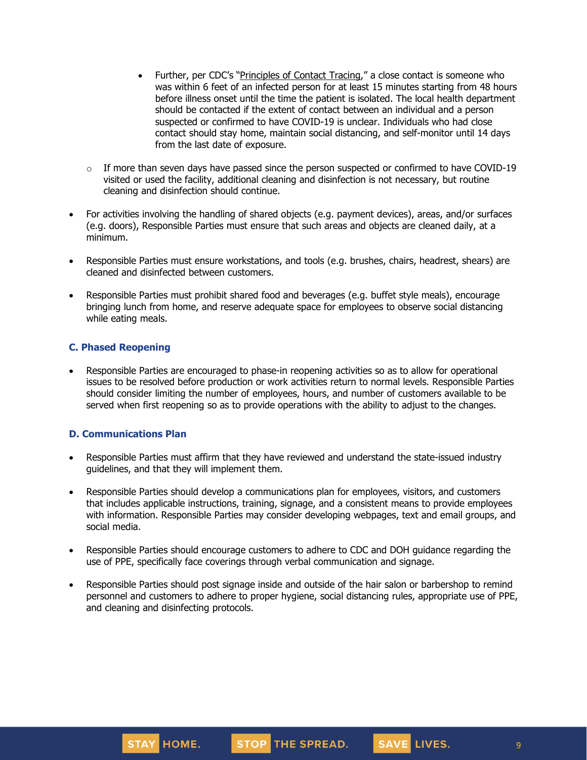- Further, per CDC's "[Principles](https://www.cdc.gov/coronavirus/2019-ncov/php/principles-contact-tracing.html) of Contact Tracing," a close contact is someone who was within 6 feet of an infected person for at least 15 minutes starting from 48 hours before illness onset until the time the patient is isolated. The local health department should be contacted if the extent of contact between an individual and a person suspected or confirmed to have COVID-19 is unclear. Individuals who had close contact should stay home, maintain social distancing, and self-monitor until 14 days from the last date of exposure.
- $\circ$  If more than seven days have passed since the person suspected or confirmed to have COVID-19 visited or used the facility, additional cleaning and disinfection is not necessary, but routine cleaning and disinfection should continue.
- For activities involving the handling of shared objects (e.g. payment devices), areas, and/or surfaces (e.g. doors), Responsible Parties must ensure that such areas and objects are cleaned daily, at a minimum.
- Responsible Parties must ensure workstations, and tools (e.g. brushes, chairs, headrest, shears) are cleaned and disinfected between customers.
- Responsible Parties must prohibit shared food and beverages (e.g. buffet style meals), encourage bringing lunch from home, and reserve adequate space for employees to observe social distancing while eating meals.

#### **C. Phased Reopening**

• Responsible Parties are encouraged to phase-in reopening activities so as to allow for operational issues to be resolved before production or work activities return to normal levels. Responsible Parties should consider limiting the number of employees, hours, and number of customers available to be served when first reopening so as to provide operations with the ability to adjust to the changes.

#### **D. Communications Plan**

- Responsible Parties must affirm that they have reviewed and understand the state-issued industry guidelines, and that they will implement them.
- Responsible Parties should develop a communications plan for employees, visitors, and customers that includes applicable instructions, training, signage, and a consistent means to provide employees with information. Responsible Parties may consider developing webpages, text and email groups, and social media.
- Responsible Parties should encourage customers to adhere to CDC and DOH guidance regarding the use of PPE, specifically face coverings through verbal communication and signage.
- Responsible Parties should post signage inside and outside of the hair salon or barbershop to remind personnel and customers to adhere to proper hygiene, social distancing rules, appropriate use of PPE, and cleaning and disinfecting protocols.



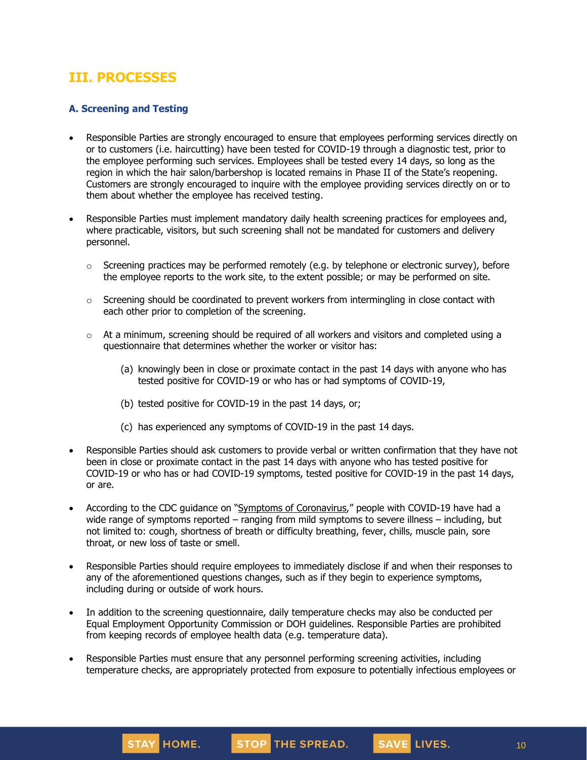## **III. PROCESSES**

## **A. Screening and Testing**

- Responsible Parties are strongly encouraged to ensure that employees performing services directly on or to customers (i.e. haircutting) have been tested for COVID-19 through a diagnostic test, prior to the employee performing such services. Employees shall be tested every 14 days, so long as the region in which the hair salon/barbershop is located remains in Phase II of the State's reopening. Customers are strongly encouraged to inquire with the employee providing services directly on or to them about whether the employee has received testing.
- Responsible Parties must implement mandatory daily health screening practices for employees and, where practicable, visitors, but such screening shall not be mandated for customers and delivery personnel.
	- $\circ$  Screening practices may be performed remotely (e.g. by telephone or electronic survey), before the employee reports to the work site, to the extent possible; or may be performed on site.
	- $\circ$  Screening should be coordinated to prevent workers from intermingling in close contact with each other prior to completion of the screening.
	- $\circ$  At a minimum, screening should be required of all workers and visitors and completed using a questionnaire that determines whether the worker or visitor has:
		- (a) knowingly been in close or proximate contact in the past 14 days with anyone who has tested positive for COVID-19 or who has or had symptoms of COVID-19,
		- (b) tested positive for COVID-19 in the past 14 days, or;
		- (c) has experienced any symptoms of COVID-19 in the past 14 days.
- Responsible Parties should ask customers to provide verbal or written confirmation that they have not been in close or proximate contact in the past 14 days with anyone who has tested positive for COVID-19 or who has or had COVID-19 symptoms, tested positive for COVID-19 in the past 14 days, or are.
- According to the CDC guidance on "Symptoms of [Coronavirus](https://www.cdc.gov/coronavirus/2019-ncov/symptoms-testing/symptoms.html)," people with COVID-19 have had a wide range of symptoms reported – ranging from mild symptoms to severe illness – including, but not limited to: cough, shortness of breath or difficulty breathing, fever, chills, muscle pain, sore throat, or new loss of taste or smell.
- Responsible Parties should require employees to immediately disclose if and when their responses to any of the aforementioned questions changes, such as if they begin to experience symptoms, including during or outside of work hours.
- In addition to the screening questionnaire, daily temperature checks may also be conducted per Equal Employment Opportunity Commission or DOH guidelines. Responsible Parties are prohibited from keeping records of employee health data (e.g. temperature data).
- Responsible Parties must ensure that any personnel performing screening activities, including temperature checks, are appropriately protected from exposure to potentially infectious employees or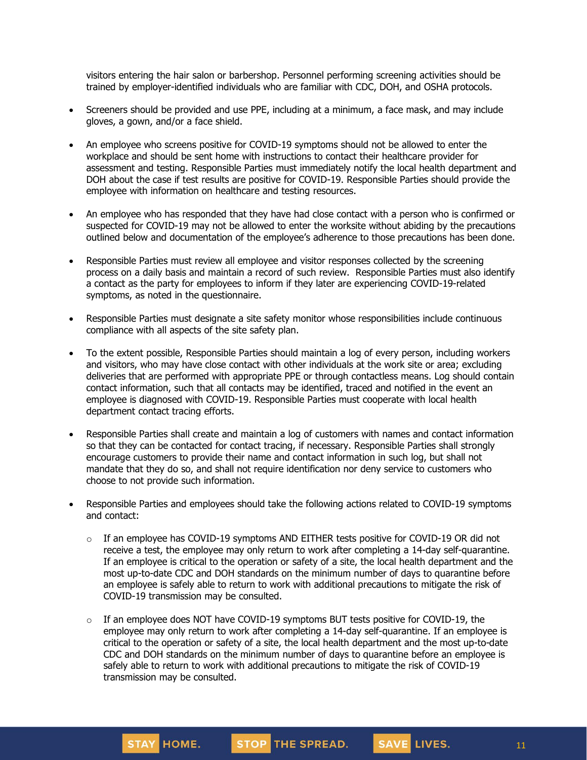visitors entering the hair salon or barbershop. Personnel performing screening activities should be trained by employer-identified individuals who are familiar with CDC, DOH, and OSHA protocols.

- Screeners should be provided and use PPE, including at a minimum, a face mask, and may include gloves, a gown, and/or a face shield.
- An employee who screens positive for COVID-19 symptoms should not be allowed to enter the workplace and should be sent home with instructions to contact their healthcare provider for assessment and testing. Responsible Parties must immediately notify the local health department and DOH about the case if test results are positive for COVID-19. Responsible Parties should provide the employee with information on healthcare and testing resources.
- An employee who has responded that they have had close contact with a person who is confirmed or suspected for COVID-19 may not be allowed to enter the worksite without abiding by the precautions outlined below and documentation of the employee's adherence to those precautions has been done.
- Responsible Parties must review all employee and visitor responses collected by the screening process on a daily basis and maintain a record of such review. Responsible Parties must also identify a contact as the party for employees to inform if they later are experiencing COVID-19-related symptoms, as noted in the questionnaire.
- Responsible Parties must designate a site safety monitor whose responsibilities include continuous compliance with all aspects of the site safety plan.
- To the extent possible, Responsible Parties should maintain a log of every person, including workers and visitors, who may have close contact with other individuals at the work site or area; excluding deliveries that are performed with appropriate PPE or through contactless means. Log should contain contact information, such that all contacts may be identified, traced and notified in the event an employee is diagnosed with COVID-19. Responsible Parties must cooperate with local health department contact tracing efforts.
- Responsible Parties shall create and maintain a log of customers with names and contact information so that they can be contacted for contact tracing, if necessary. Responsible Parties shall strongly encourage customers to provide their name and contact information in such log, but shall not mandate that they do so, and shall not require identification nor deny service to customers who choose to not provide such information.
- Responsible Parties and employees should take the following actions related to COVID-19 symptoms and contact:
	- o If an employee has COVID-19 symptoms AND EITHER tests positive for COVID-19 OR did not receive a test, the employee may only [return](https://www.cdc.gov/coronavirus/2019-ncov/hcp/return-to-work.html) to work after completing a 14-day self-quarantine. If an employee is critical to the operation or safety of a site, the local health department and the most up-to-date CDC and DOH standards on the minimum number of days to quarantine before an employee is safely able to return to work with additional precautions to mitigate the risk of COVID-19 transmission may be consulted.
	- $\circ$  If an employee does NOT have COVID-19 symptoms BUT tests positive for COVID-19, the employee may only return to work after completing a 14-day self-quarantine. If an employee is critical to the operation or safety of a site, the local health department and the most up-to-date CDC and DOH standards on the minimum number of days to quarantine before an employee is safely able to return to work with additional precautions to mitigate the risk of COVID-19 transmission may be consulted.

11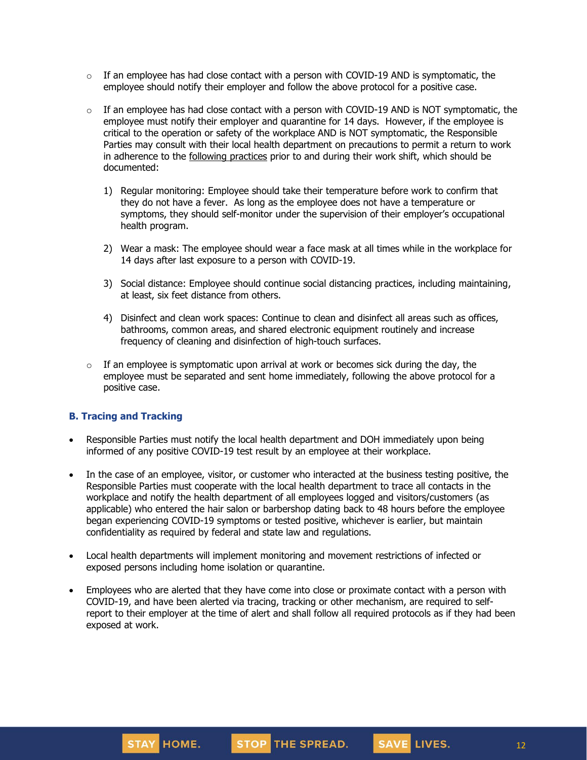- $\circ$  If an employee has had close contact with a person with COVID-19 AND is symptomatic, the employee should notify their employer and follow the above protocol for a positive case.
- $\circ$  If an employee has had close contact with a person with COVID-19 AND is NOT symptomatic, the employee must notify their employer and quarantine for 14 days. However, if the employee is critical to the operation or safety of the workplace AND is NOT symptomatic, the Responsible Parties may consult with their local health department on precautions to permit a return to work in adherence to the [following](https://www.cdc.gov/coronavirus/2019-ncov/community/critical-workers/implementing-safety-practices.html) practices prior to and during their work shift, which should be documented:
	- 1) Regular monitoring: Employee should take their temperature before work to confirm that they do not have a fever. As long as the employee does not have a temperature or symptoms, they should self-monitor under the supervision of their employer's occupational health program.
	- 2) Wear a mask: The employee should wear a face mask at all times while in the workplace for 14 days after last exposure to a person with COVID-19.
	- 3) Social distance: Employee should continue social distancing practices, including maintaining, at least, six feet distance from others.
	- 4) Disinfect and clean work spaces: Continue to clean and disinfect all areas such as offices, bathrooms, common areas, and shared electronic equipment routinely and increase frequency of cleaning and disinfection of high-touch surfaces.
- $\circ$  If an employee is symptomatic upon arrival at work or becomes sick during the day, the employee must be separated and sent home immediately, following the above protocol for a positive case.

### **B. Tracing and Tracking**

- Responsible Parties must notify the local health department and DOH immediately upon being informed of any positive COVID-19 test result by an employee at their workplace.
- In the case of an employee, visitor, or customer who interacted at the business testing positive, the Responsible Parties must cooperate with the local health department to trace all contacts in the workplace and notify the health department of all employees logged and visitors/customers (as applicable) who entered the hair salon or barbershop dating back to 48 hours before the employee began experiencing COVID-19 symptoms or tested positive, whichever is earlier, but maintain confidentiality as required by federal and state law and regulations.
- Local health departments will implement monitoring and movement restrictions of infected or exposed persons including home isolation or quarantine.
- Employees who are alerted that they have come into close or proximate contact with a person with COVID-19, and have been alerted via tracing, tracking or other mechanism, are required to selfreport to their employer at the time of alert and shall follow all required protocols as if they had been exposed at work.